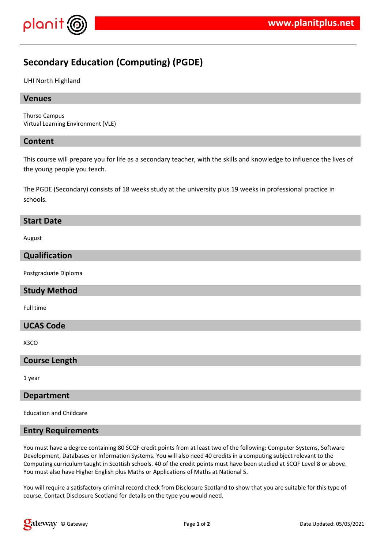# **Secondary Education (Computing) (PGDE)**

UHI North Highland

#### **Venues**

Thurso Campus Virtual Learning Environment (VLE)

#### **Content**

This course will prepare you for life as a secondary teacher, with the skills and knowledge to influence the lives of the young people you teach.

The PGDE (Secondary) consists of 18 weeks study at the university plus 19 weeks in professional practice in schools.

#### **Start Date**

August

# **Qualification**

Postgraduate Diploma

# **Study Method**

Full time

# **UCAS Code**

X3CO

#### **Course Length**

1 year

#### **Department**

Education and Childcare

#### **Entry Requirements**

You must have a degree containing 80 SCQF credit points from at least two of the following: Computer Systems, Software Development, Databases or Information Systems. You will also need 40 credits in a computing subject relevant to the Computing curriculum taught in Scottish schools. 40 of the credit points must have been studied at SCQF Level 8 or above. You must also have Higher English plus Maths or Applications of Maths at National 5.

You will require a satisfactory criminal record check from Disclosure Scotland to show that you are suitable for this type of course. Contact Disclosure Scotland for details on the type you would need.